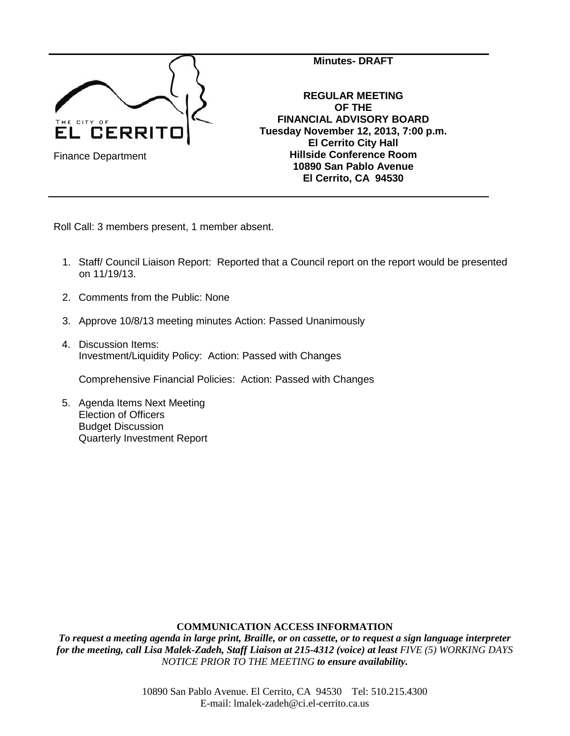

Roll Call: 3 members present, 1 member absent.

- 1. Staff/ Council Liaison Report: Reported that a Council report on the report would be presented on 11/19/13.
- 2. Comments from the Public: None
- 3. Approve 10/8/13 meeting minutes Action: Passed Unanimously
- 4. Discussion Items: Investment/Liquidity Policy: Action: Passed with Changes

Comprehensive Financial Policies: Action: Passed with Changes

5. Agenda Items Next Meeting Election of Officers Budget Discussion Quarterly Investment Report

### **COMMUNICATION ACCESS INFORMATION**

*To request a meeting agenda in large print, Braille, or on cassette, or to request a sign language interpreter for the meeting, call Lisa Malek-Zadeh, Staff Liaison at 215-4312 (voice) at least FIVE (5) WORKING DAYS NOTICE PRIOR TO THE MEETING to ensure availability.*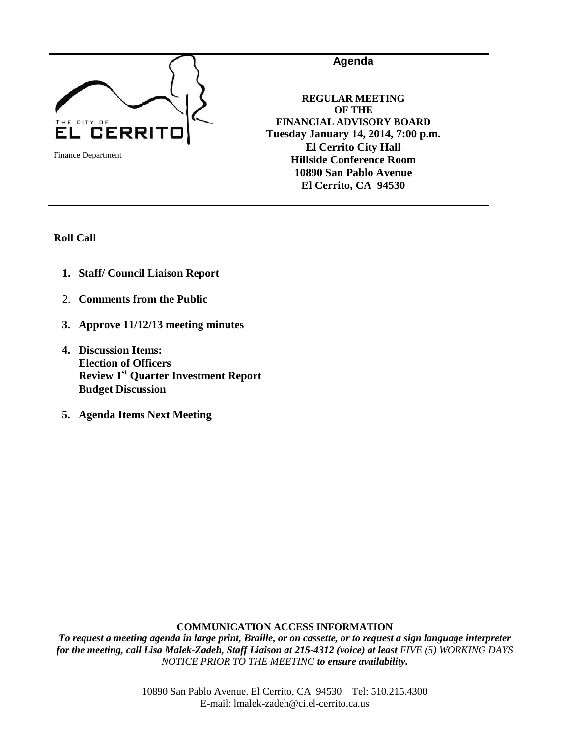

**REGULAR MEETING OF THE FINANCIAL ADVISORY BOARD Tuesday January 14, 2014, 7:00 p.m. El Cerrito City Hall Hillside Conference Room 10890 San Pablo Avenue El Cerrito, CA 94530**

**Agenda**

**Roll Call**

- **1. Staff/ Council Liaison Report**
- 2. **Comments from the Public**
- **3. Approve 11/12/13 meeting minutes**
- **4. Discussion Items: Election of Officers Review 1st Quarter Investment Report Budget Discussion**
- **5. Agenda Items Next Meeting**

### **COMMUNICATION ACCESS INFORMATION**

*To request a meeting agenda in large print, Braille, or on cassette, or to request a sign language interpreter for the meeting, call Lisa Malek-Zadeh, Staff Liaison at 215-4312 (voice) at least FIVE (5) WORKING DAYS NOTICE PRIOR TO THE MEETING to ensure availability.*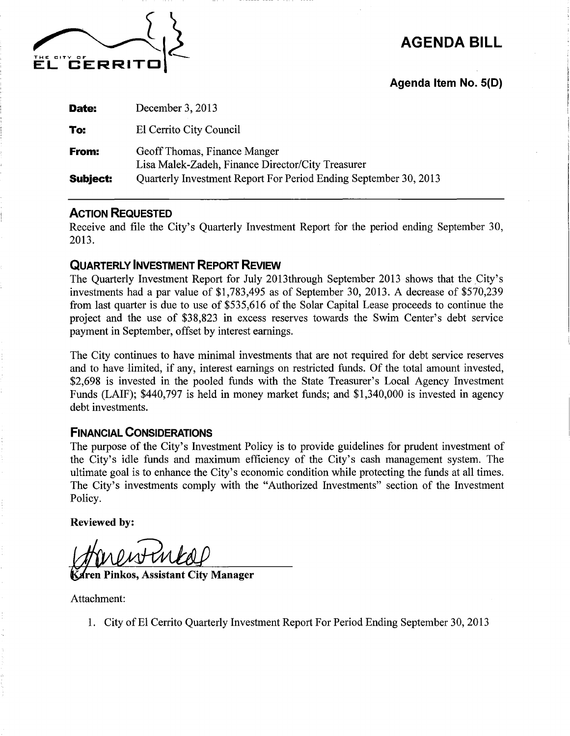

**AGENDA BILL** 

Agenda Item No. 5(D)

| Date:           | December 3, 2013                                                                  |
|-----------------|-----------------------------------------------------------------------------------|
| To:             | El Cerrito City Council                                                           |
| From:           | Geoff Thomas, Finance Manger<br>Lisa Malek-Zadeh, Finance Director/City Treasurer |
| <b>Subject:</b> | Quarterly Investment Report For Period Ending September 30, 2013                  |

## **ACTION REQUESTED**

Receive and file the City's Quarterly Investment Report for the period ending September 30, 2013.

# **QUARTERLY INVESTMENT REPORT REVIEW**

The Quarterly Investment Report for July 2013through September 2013 shows that the City's investments had a par value of \$1,783,495 as of September 30, 2013. A decrease of \$570,239 from last quarter is due to use of \$535,616 of the Solar Capital Lease proceeds to continue the project and the use of \$38,823 in excess reserves towards the Swim Center's debt service payment in September, offset by interest earnings.

The City continues to have minimal investments that are not required for debt service reserves and to have limited, if any, interest earnings on restricted funds. Of the total amount invested, \$2,698 is invested in the pooled funds with the State Treasurer's Local Agency Investment Funds (LAIF); \$440,797 is held in money market funds; and \$1,340,000 is invested in agency debt investments.

## **FINANCIAL CONSIDERATIONS**

The purpose of the City's Investment Policy is to provide guidelines for prudent investment of the City's idle funds and maximum efficiency of the City's cash management system. The ultimate goal is to enhance the City's economic condition while protecting the funds at all times. The City's investments comply with the "Authorized Investments" section of the Investment Policy.

**Reviewed by:** 

**Pinkos, Assistant City Manager** 

Attachment:

1. City of El Cerrito Quarterly Investment Report For Period Ending September 30, 2013